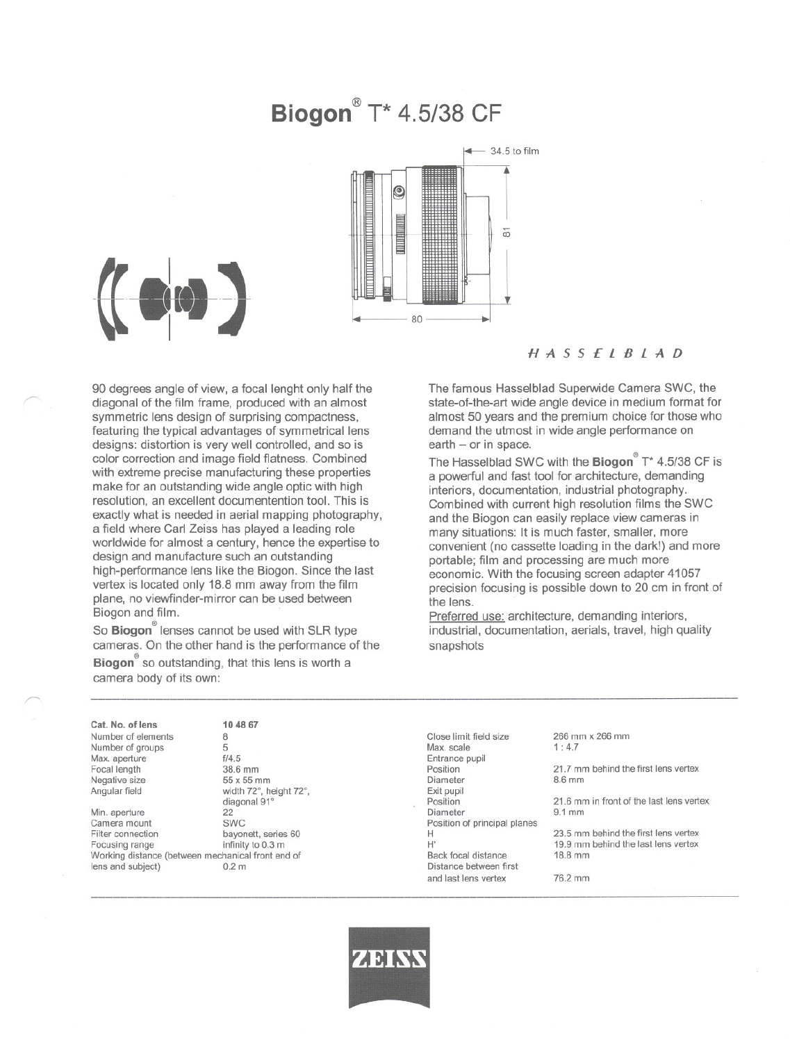# **Biogon@** T\* 4.5/38 CF



'"

'"

### HASSElBlAD

90 degrees angle of view, a focal lenght only half the diagonal of the film frame, produced with an almost symmetrie lens design of surprising compactness, featuring the typical advantages of symmetrical lens designs: distortion is very weil controlled, and so is color correction and image fjeld flatness. Combined with extreme precise manufacturing these properties make for an outstanding wide angle optic with high resolution, an excellent documentention tool. This is exactly what is needed in aerial mapping photography, a field where Carl Zeiss has played a leading role worldwide for almost a century, hence the expertise to design and manufacture such an outstanding high-performance lens like the Biogon. Since the last vertex is located only 18.8 mm away from the film plane, no viewfinder-mirror can be used between Biogon and film.

So Biogon<sup>®</sup> lenses cannot be used with SLR type cameras. On the other hand is the performance of the  $\mathsf{Biogon}^\mathsf{e}$  so outstanding, that this lens is worth a camera body of its own:

104867

The famous Hasselblad Superwide Camera SWC, the state-of-the-art wide angle device in medium format for almost 50 years and the premium choice for those who demand the utmost in wide angle performance on  $earth - or in space.$ 

The Hasselblad SWC with the Biogon<sup>®</sup> T\* 4.5/38 CF is a powerful and fast tool for architecture, demanding interiors, documentation, industrial photography. Combined with current high resolution films the SWC and the Biogon can easily replace view cameras in many situations: It is much faster, smaller, more convenient (no cassette loading in the dark!) and more portable; film and processing are much more economic. With the focusing screen adapter 41057 precision focusing is possible down to 20 cm in front of the lens.

Preferred use: architecture, demanding interiors, industrial, documentation, aerials, travel, high quality snapshots

Cat. No. of lens Number of elements Number of groups Max. aperture Focal length Negative size Angular field

Min. aperture 22<br>Camera mount SWC Camera mount Filter connection<br>
Focusing range<br>
infinity to 0.3 m Focusing range Working distance (between mechanical front end of<br>lens and subject)  $0.2 \text{ m}$ lens and subject)

8 5 f/4.5 38.6 mm 55 x 55 mm width 72°, height 72°, diagonal 91°<br>22

----------------------------------------------------

Glose limit fjeld size Max. scale Entrance pupil Position Diameter Exit pupil Position Diameter Position of principal planes H H' Back focal distance Distance between first and last lens vertex

#### 266 mm x 266 mm 1: 4.7

21.7 mm behind the first lens vertex 8.6mm

21.6 mm in front of the last lens vertex 9.1 mm

23.5 mm behind the first lens vertex 19.9 mm behind the last lens vertex 18.8 mm

76.2mm



-------------------------------------------------------------